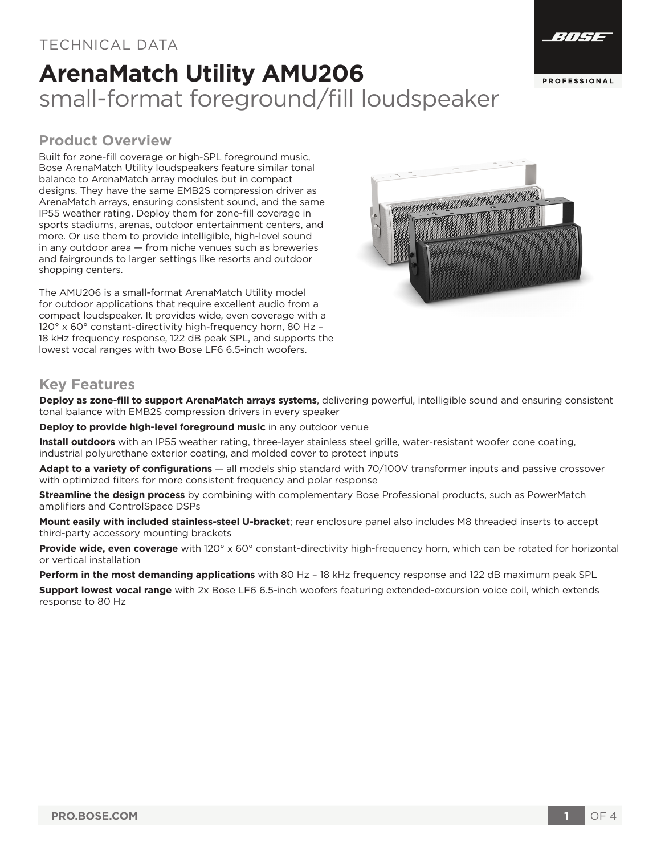### TECHNICAL DATA

# **ArenaMatch Utility AMU206** small-format foreground/fill loudspeaker



Built for zone-fill coverage or high-SPL foreground music, Bose ArenaMatch Utility loudspeakers feature similar tonal balance to ArenaMatch array modules but in compact designs. They have the same EMB2S compression driver as ArenaMatch arrays, ensuring consistent sound, and the same IP55 weather rating. Deploy them for zone-fill coverage in sports stadiums, arenas, outdoor entertainment centers, and more. Or use them to provide intelligible, high-level sound in any outdoor area — from niche venues such as breweries and fairgrounds to larger settings like resorts and outdoor shopping centers.

The AMU206 is a small-format ArenaMatch Utility model for outdoor applications that require excellent audio from a compact loudspeaker. It provides wide, even coverage with a 120° x 60° constant-directivity high-frequency horn, 80 Hz – 18 kHz frequency response, 122 dB peak SPL, and supports the lowest vocal ranges with two Bose LF6 6.5-inch woofers.



### **Key Features**

**Deploy as zone-fill to support ArenaMatch arrays systems**, delivering powerful, intelligible sound and ensuring consistent tonal balance with EMB2S compression drivers in every speaker

**Deploy to provide high-level foreground music** in any outdoor venue

**Install outdoors** with an IP55 weather rating, three-layer stainless steel grille, water-resistant woofer cone coating, industrial polyurethane exterior coating, and molded cover to protect inputs

**Adapt to a variety of configurations** — all models ship standard with 70/100V transformer inputs and passive crossover with optimized filters for more consistent frequency and polar response

**Streamline the design process** by combining with complementary Bose Professional products, such as PowerMatch amplifiers and ControlSpace DSPs

**Mount easily with included stainless-steel U-bracket**; rear enclosure panel also includes M8 threaded inserts to accept third-party accessory mounting brackets

**Provide wide, even coverage** with 120° x 60° constant-directivity high-frequency horn, which can be rotated for horizontal or vertical installation

**Perform in the most demanding applications** with 80 Hz – 18 kHz frequency response and 122 dB maximum peak SPL

**Support lowest vocal range** with 2x Bose LF6 6.5-inch woofers featuring extended-excursion voice coil, which extends response to 80 Hz



EITET.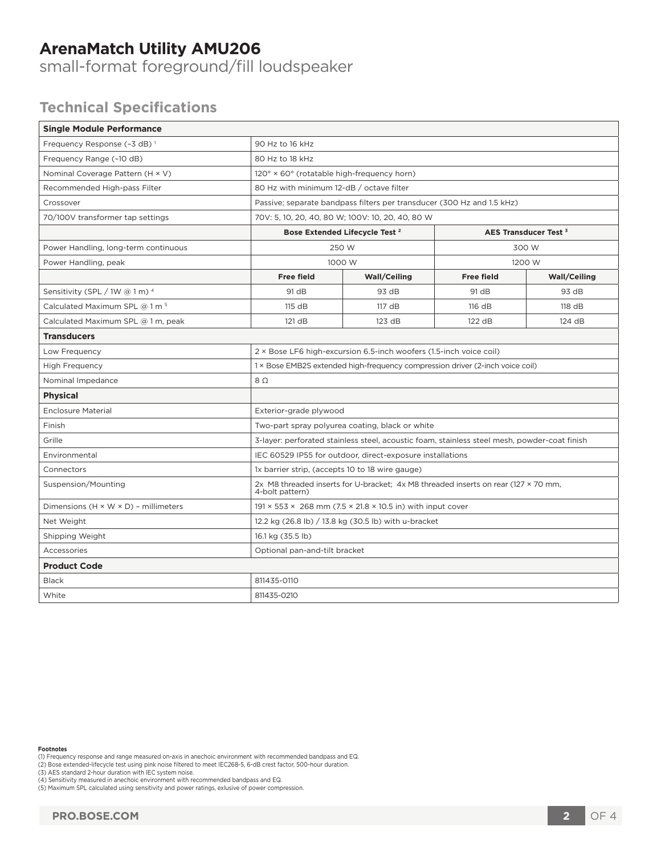# **ArenaMatch Utility AMU206**

small-format foreground/fill loudspeaker

# **Technical Specifications**

| <b>Single Module Performance</b>                 |                                                                                                       |                     |                                  |                     |
|--------------------------------------------------|-------------------------------------------------------------------------------------------------------|---------------------|----------------------------------|---------------------|
| Frequency Response (-3 dB) <sup>1</sup>          | 90 Hz to 16 kHz                                                                                       |                     |                                  |                     |
| Frequency Range (-10 dB)                         | 80 Hz to 18 kHz                                                                                       |                     |                                  |                     |
| Nominal Coverage Pattern (H × V)                 | 120° × 60° (rotatable high-frequency horn)                                                            |                     |                                  |                     |
| Recommended High-pass Filter                     | 80 Hz with minimum 12-dB / octave filter                                                              |                     |                                  |                     |
| Crossover                                        | Passive; separate bandpass filters per transducer (300 Hz and 1.5 kHz)                                |                     |                                  |                     |
| 70/100V transformer tap settings                 | 70V: 5, 10, 20, 40, 80 W; 100V: 10, 20, 40, 80 W                                                      |                     |                                  |                     |
|                                                  | Bose Extended Lifecycle Test <sup>2</sup>                                                             |                     | AES Transducer Test <sup>3</sup> |                     |
| Power Handling, long-term continuous             | 250 W                                                                                                 |                     | 300 W                            |                     |
| Power Handling, peak                             | 1000 W                                                                                                |                     | 1200 W                           |                     |
|                                                  | <b>Free field</b>                                                                                     | <b>Wall/Ceiling</b> | <b>Free field</b>                | <b>Wall/Ceiling</b> |
| Sensitivity (SPL / 1W @ 1 m) 4                   | 91 dB                                                                                                 | 93 dB               | 91 dB                            | 93 dB               |
| Calculated Maximum SPL @ 1 m <sup>5</sup>        | 115 dB                                                                                                | 117 dB              | 116 dB                           | 118 dB              |
| Calculated Maximum SPL @ 1 m, peak               | 121 dB                                                                                                | 123 dB              | 122 dB                           | 124 dB              |
| <b>Transducers</b>                               |                                                                                                       |                     |                                  |                     |
| Low Frequency                                    | 2 × Bose LF6 high-excursion 6.5-inch woofers (1.5-inch voice coil)                                    |                     |                                  |                     |
| <b>High Frequency</b>                            | 1 × Bose EMB2S extended high-frequency compression driver (2-inch voice coil)                         |                     |                                  |                     |
| Nominal Impedance                                | $8\Omega$                                                                                             |                     |                                  |                     |
| <b>Physical</b>                                  |                                                                                                       |                     |                                  |                     |
| <b>Enclosure Material</b>                        | Exterior-grade plywood                                                                                |                     |                                  |                     |
| Finish                                           | Two-part spray polyurea coating, black or white                                                       |                     |                                  |                     |
| Grille                                           | 3-layer: perforated stainless steel, acoustic foam, stainless steel mesh, powder-coat finish          |                     |                                  |                     |
| Environmental                                    | IEC 60529 IP55 for outdoor, direct-exposure installations                                             |                     |                                  |                     |
| Connectors                                       | 1x barrier strip, (accepts 10 to 18 wire gauge)                                                       |                     |                                  |                     |
| Suspension/Mounting                              | 2x M8 threaded inserts for U-bracket; 4x M8 threaded inserts on rear (127 × 70 mm,<br>4-bolt pattern) |                     |                                  |                     |
| Dimensions $(H \times W \times D)$ - millimeters | $191 \times 553 \times 268$ mm (7.5 $\times$ 21.8 $\times$ 10.5 in) with input cover                  |                     |                                  |                     |
| Net Weight                                       | 12.2 kg (26.8 lb) / 13.8 kg (30.5 lb) with u-bracket                                                  |                     |                                  |                     |
| Shipping Weight                                  | 16.1 kg (35.5 lb)                                                                                     |                     |                                  |                     |
| Accessories                                      | Optional pan-and-tilt bracket                                                                         |                     |                                  |                     |
| <b>Product Code</b>                              |                                                                                                       |                     |                                  |                     |
| <b>Black</b>                                     | 811435-0110                                                                                           |                     |                                  |                     |
| White                                            | 811435-0210                                                                                           |                     |                                  |                     |

#### **Footnotes**

(1) Frequency response and range measured on-axis in anechoic environment with recommended bandpass and EQ.<br>(2) Bose extended-lifecycle test using pink noise filtered to meet IEC268-5, 6-dB crest factor, 500-hour duration.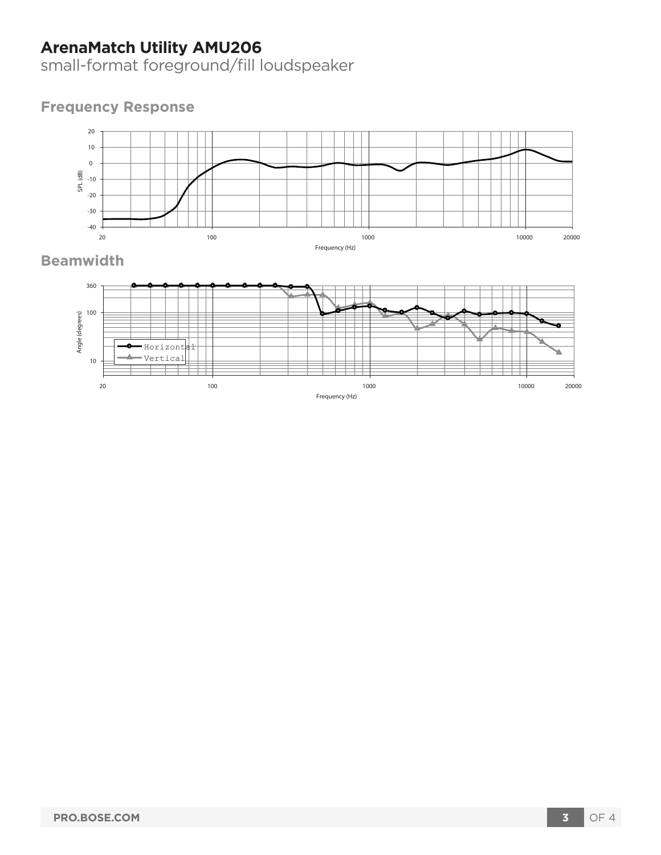# **ArenaMatch Utility AMU206**

small-format foreground/fill loudspeaker

### **Frequency Response**



## **Beamwidth**